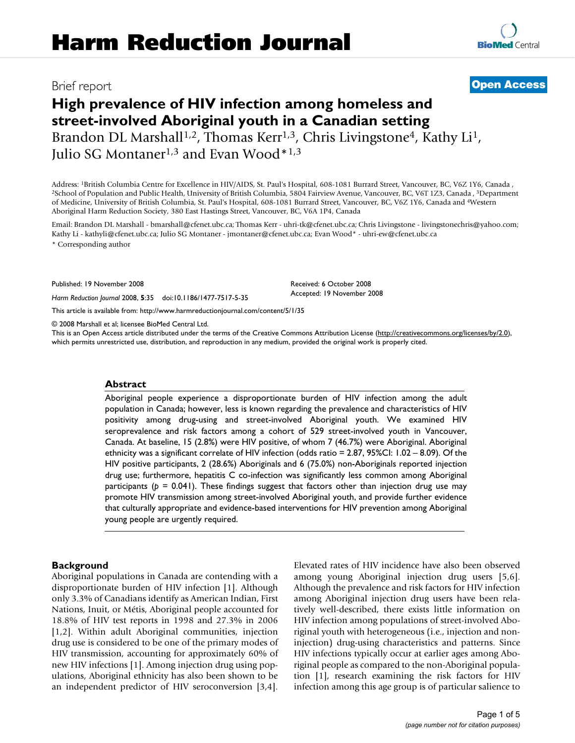# **High prevalence of HIV infection among homeless and street-involved Aboriginal youth in a Canadian setting** Brandon DL Marshall<sup>1,2</sup>, Thomas Kerr<sup>1,3</sup>, Chris Livingstone<sup>4</sup>, Kathy Li<sup>1</sup>, Julio SG Montaner<sup>1,3</sup> and Evan Wood<sup>\*1,3</sup>

Address: <sup>1</sup>British Columbia Centre for Excellence in HIV/AIDS, St. Paul's Hospital, 608-1081 Burrard Street, Vancouver, BC, V6Z 1Y6, Canada, 3<br><sup>2</sup>School of Population and Public Health, University of British Columbia, 580 of Medicine, University of British Columbia, St. Paul's Hospital, 608-1081 Burrard Street, Vancouver, BC, V6Z 1Y6, Canada and 4Western Aboriginal Harm Reduction Society, 380 East Hastings Street, Vancouver, BC, V6A 1P4, Canada

Email: Brandon DL Marshall - bmarshall@cfenet.ubc.ca; Thomas Kerr - uhri-tk@cfenet.ubc.ca; Chris Livingstone - livingstonechris@yahoo.com; Kathy Li - kathyli@cfenet.ubc.ca; Julio SG Montaner - jmontaner@cfenet.ubc.ca; Evan Wood\* - uhri-ew@cfenet.ubc.ca

> Received: 6 October 2008 Accepted: 19 November 2008

\* Corresponding author

Published: 19 November 2008

*Harm Reduction Journal* 2008, **5**:35 doi:10.1186/1477-7517-5-35

[This article is available from: http://www.harmreductionjournal.com/content/5/1/35](http://www.harmreductionjournal.com/content/5/1/35)

© 2008 Marshall et al; licensee BioMed Central Ltd.

This is an Open Access article distributed under the terms of the Creative Commons Attribution License [\(http://creativecommons.org/licenses/by/2.0\)](http://creativecommons.org/licenses/by/2.0), which permits unrestricted use, distribution, and reproduction in any medium, provided the original work is properly cited.

#### **Abstract**

Aboriginal people experience a disproportionate burden of HIV infection among the adult population in Canada; however, less is known regarding the prevalence and characteristics of HIV positivity among drug-using and street-involved Aboriginal youth. We examined HIV seroprevalence and risk factors among a cohort of 529 street-involved youth in Vancouver, Canada. At baseline, 15 (2.8%) were HIV positive, of whom 7 (46.7%) were Aboriginal. Aboriginal ethnicity was a significant correlate of HIV infection (odds ratio = 2.87, 95%CI: 1.02 – 8.09). Of the HIV positive participants, 2 (28.6%) Aboriginals and 6 (75.0%) non-Aboriginals reported injection drug use; furthermore, hepatitis C co-infection was significantly less common among Aboriginal participants ( $p = 0.041$ ). These findings suggest that factors other than injection drug use may promote HIV transmission among street-involved Aboriginal youth, and provide further evidence that culturally appropriate and evidence-based interventions for HIV prevention among Aboriginal young people are urgently required.

## **Background**

Aboriginal populations in Canada are contending with a disproportionate burden of HIV infection [1]. Although only 3.3% of Canadians identify as American Indian, First Nations, Inuit, or Métis, Aboriginal people accounted for 18.8% of HIV test reports in 1998 and 27.3% in 2006 [1,2]. Within adult Aboriginal communities, injection drug use is considered to be one of the primary modes of HIV transmission, accounting for approximately 60% of new HIV infections [1]. Among injection drug using populations, Aboriginal ethnicity has also been shown to be an independent predictor of HIV seroconversion [3,4]. Elevated rates of HIV incidence have also been observed among young Aboriginal injection drug users [5,6]. Although the prevalence and risk factors for HIV infection among Aboriginal injection drug users have been relatively well-described, there exists little information on HIV infection among populations of street-involved Aboriginal youth with heterogeneous (i.e., injection and noninjection) drug-using characteristics and patterns. Since HIV infections typically occur at earlier ages among Aboriginal people as compared to the non-Aboriginal population [1], research examining the risk factors for HIV infection among this age group is of particular salience to

Brief report **[Open Access](http://www.biomedcentral.com/info/about/charter/)**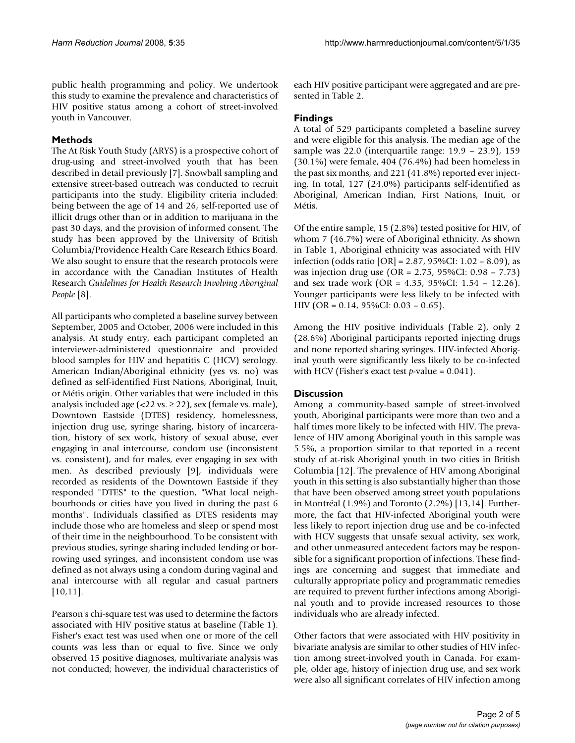public health programming and policy. We undertook this study to examine the prevalence and characteristics of HIV positive status among a cohort of street-involved youth in Vancouver.

# **Methods**

The At Risk Youth Study (ARYS) is a prospective cohort of drug-using and street-involved youth that has been described in detail previously [7]. Snowball sampling and extensive street-based outreach was conducted to recruit participants into the study. Eligibility criteria included: being between the age of 14 and 26, self-reported use of illicit drugs other than or in addition to marijuana in the past 30 days, and the provision of informed consent. The study has been approved by the University of British Columbia/Providence Health Care Research Ethics Board. We also sought to ensure that the research protocols were in accordance with the Canadian Institutes of Health Research *Guidelines for Health Research Involving Aboriginal People* [8].

All participants who completed a baseline survey between September, 2005 and October, 2006 were included in this analysis. At study entry, each participant completed an interviewer-administered questionnaire and provided blood samples for HIV and hepatitis C (HCV) serology. American Indian/Aboriginal ethnicity (yes vs. no) was defined as self-identified First Nations, Aboriginal, Inuit, or Métis origin. Other variables that were included in this analysis included age (<22 vs.  $\geq$  22), sex (female vs. male), Downtown Eastside (DTES) residency, homelessness, injection drug use, syringe sharing, history of incarceration, history of sex work, history of sexual abuse, ever engaging in anal intercourse, condom use (inconsistent vs. consistent), and for males, ever engaging in sex with men. As described previously [9], individuals were recorded as residents of the Downtown Eastside if they responded "DTES" to the question, "What local neighbourhoods or cities have you lived in during the past 6 months". Individuals classified as DTES residents may include those who are homeless and sleep or spend most of their time in the neighbourhood. To be consistent with previous studies, syringe sharing included lending or borrowing used syringes, and inconsistent condom use was defined as not always using a condom during vaginal and anal intercourse with all regular and casual partners [10,11].

Pearson's chi-square test was used to determine the factors associated with HIV positive status at baseline (Table 1). Fisher's exact test was used when one or more of the cell counts was less than or equal to five. Since we only observed 15 positive diagnoses, multivariate analysis was not conducted; however, the individual characteristics of each HIV positive participant were aggregated and are presented in Table 2.

# **Findings**

A total of 529 participants completed a baseline survey and were eligible for this analysis. The median age of the sample was 22.0 (interquartile range: 19.9 – 23.9), 159 (30.1%) were female, 404 (76.4%) had been homeless in the past six months, and 221 (41.8%) reported ever injecting. In total, 127 (24.0%) participants self-identified as Aboriginal, American Indian, First Nations, Inuit, or Métis.

Of the entire sample, 15 (2.8%) tested positive for HIV, of whom 7 (46.7%) were of Aboriginal ethnicity. As shown in Table 1, Aboriginal ethnicity was associated with HIV infection (odds ratio [OR] = 2.87, 95%CI: 1.02 – 8.09), as was injection drug use (OR = 2.75, 95%CI: 0.98 – 7.73) and sex trade work (OR = 4.35, 95%CI: 1.54 – 12.26). Younger participants were less likely to be infected with HIV (OR = 0.14, 95%CI: 0.03 – 0.65).

Among the HIV positive individuals (Table 2), only 2 (28.6%) Aboriginal participants reported injecting drugs and none reported sharing syringes. HIV-infected Aboriginal youth were significantly less likely to be co-infected with HCV (Fisher's exact test *p*-value = 0.041).

# **Discussion**

Among a community-based sample of street-involved youth, Aboriginal participants were more than two and a half times more likely to be infected with HIV. The prevalence of HIV among Aboriginal youth in this sample was 5.5%, a proportion similar to that reported in a recent study of at-risk Aboriginal youth in two cities in British Columbia [12]. The prevalence of HIV among Aboriginal youth in this setting is also substantially higher than those that have been observed among street youth populations in Montréal (1.9%) and Toronto (2.2%) [13,14]. Furthermore, the fact that HIV-infected Aboriginal youth were less likely to report injection drug use and be co-infected with HCV suggests that unsafe sexual activity, sex work, and other unmeasured antecedent factors may be responsible for a significant proportion of infections. These findings are concerning and suggest that immediate and culturally appropriate policy and programmatic remedies are required to prevent further infections among Aboriginal youth and to provide increased resources to those individuals who are already infected.

Other factors that were associated with HIV positivity in bivariate analysis are similar to other studies of HIV infection among street-involved youth in Canada. For example, older age, history of injection drug use, and sex work were also all significant correlates of HIV infection among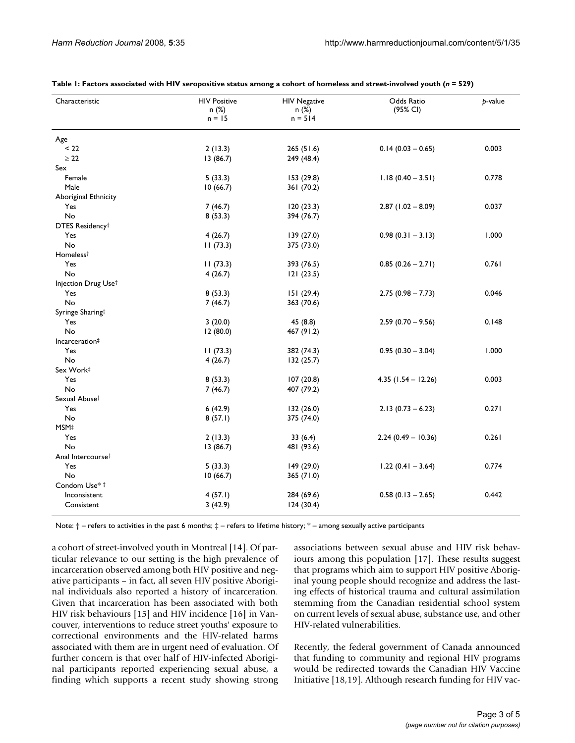| Characteristic              | <b>HIV Positive</b><br>n(%)<br>$n = 15$ | <b>HIV Negative</b><br>n(%)<br>$n = 514$ | Odds Ratio<br>(95% CI) | p-value |
|-----------------------------|-----------------------------------------|------------------------------------------|------------------------|---------|
| Age                         |                                         |                                          |                        |         |
| < 22                        | 2(13.3)                                 | 265 (51.6)                               | $0.14$ (0.03 - 0.65)   | 0.003   |
| $\geq 22$                   | 13(86.7)                                | 249 (48.4)                               |                        |         |
| Sex                         |                                         |                                          |                        |         |
| Female                      | 5(33.3)                                 | 153 (29.8)                               | $1.18(0.40 - 3.51)$    | 0.778   |
| Male                        | 10(66.7)                                | 361 (70.2)                               |                        |         |
| Aboriginal Ethnicity        |                                         |                                          |                        |         |
| Yes                         | 7(46.7)                                 | 120(23.3)                                | $2.87$ (1.02 - 8.09)   | 0.037   |
| No                          | 8(53.3)                                 | 394 (76.7)                               |                        |         |
| DTES Residency <sup>†</sup> |                                         |                                          |                        |         |
| Yes                         | 4(26.7)                                 | 139(27.0)                                | $0.98(0.31 - 3.13)$    | 1.000   |
| No                          | 11(73.3)                                | 375 (73.0)                               |                        |         |
| Homeless <sup>†</sup>       |                                         |                                          |                        |         |
| Yes                         | 11(73.3)                                | 393 (76.5)                               | $0.85(0.26 - 2.71)$    | 0.761   |
| No                          | 4(26.7)                                 | 121(23.5)                                |                        |         |
| Injection Drug Uset         |                                         |                                          |                        |         |
| Yes                         | 8(53.3)                                 | 151(29.4)                                | $2.75(0.98 - 7.73)$    | 0.046   |
| No                          | 7(46.7)                                 | 363 (70.6)                               |                        |         |
| Syringe Sharingt            |                                         |                                          |                        |         |
| Yes                         | 3(20.0)                                 | 45(8.8)                                  | $2.59(0.70 - 9.56)$    | 0.148   |
| No                          | 12(80.0)                                | 467 (91.2)                               |                        |         |
| Incarceration#              |                                         |                                          |                        |         |
| Yes                         | 11(73.3)                                | 382 (74.3)                               | $0.95(0.30 - 3.04)$    | 1.000   |
| No                          | 4(26.7)                                 | 132 (25.7)                               |                        |         |
| Sex Work‡                   |                                         |                                          |                        |         |
| Yes                         | 8(53.3)                                 | 107(20.8)                                | $4.35$ (1.54 - 12.26)  | 0.003   |
| No                          | 7(46.7)                                 | 407 (79.2)                               |                        |         |
| Sexual Abuse‡               |                                         |                                          |                        |         |
| Yes                         | 6(42.9)                                 | 132 (26.0)                               | $2.13(0.73 - 6.23)$    | 0.271   |
| No                          | 8(57.1)                                 | 375 (74.0)                               |                        |         |
| MSM‡                        |                                         |                                          |                        |         |
| Yes                         | 2(13.3)                                 | 33(6.4)                                  | $2.24(0.49 - 10.36)$   | 0.261   |
| No                          | 13(86.7)                                | 481 (93.6)                               |                        |         |
| Anal Intercourse‡           |                                         |                                          |                        |         |
| Yes                         | 5(33.3)                                 | 149 (29.0)                               | $1.22(0.41 - 3.64)$    | 0.774   |
| No                          | 10(66.7)                                | 365 (71.0)                               |                        |         |
| Condom Use* †               |                                         |                                          |                        |         |
| Inconsistent                | 4(57.1)                                 | 284 (69.6)                               | $0.58(0.13 - 2.65)$    | 0.442   |
| Consistent                  | 3(42.9)                                 | 124(30.4)                                |                        |         |

| Table 1: Factors associated with HIV seropositive status among a cohort of homeless and street-involved youth ( $n = 529$ ) |  |  |  |  |  |
|-----------------------------------------------------------------------------------------------------------------------------|--|--|--|--|--|
|-----------------------------------------------------------------------------------------------------------------------------|--|--|--|--|--|

Note:  $\dagger$  – refers to activities in the past 6 months;  $\dagger$  – refers to lifetime history;  $*$  – among sexually active participants

a cohort of street-involved youth in Montreal [14]. Of particular relevance to our setting is the high prevalence of incarceration observed among both HIV positive and negative participants – in fact, all seven HIV positive Aboriginal individuals also reported a history of incarceration. Given that incarceration has been associated with both HIV risk behaviours [15] and HIV incidence [16] in Vancouver, interventions to reduce street youths' exposure to correctional environments and the HIV-related harms associated with them are in urgent need of evaluation. Of further concern is that over half of HIV-infected Aboriginal participants reported experiencing sexual abuse, a finding which supports a recent study showing strong associations between sexual abuse and HIV risk behaviours among this population [17]. These results suggest that programs which aim to support HIV positive Aboriginal young people should recognize and address the lasting effects of historical trauma and cultural assimilation stemming from the Canadian residential school system on current levels of sexual abuse, substance use, and other HIV-related vulnerabilities.

Recently, the federal government of Canada announced that funding to community and regional HIV programs would be redirected towards the Canadian HIV Vaccine Initiative [18,19]. Although research funding for HIV vac-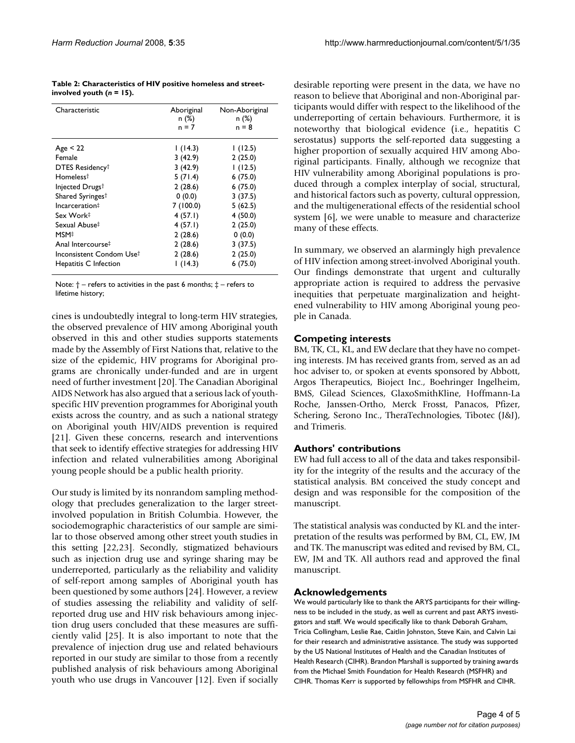| Table 2: Characteristics of HIV positive homeless and street- |  |
|---------------------------------------------------------------|--|
| involved youth $(n = 15)$ .                                   |  |

| Characteristic                | Aboriginal<br>n(%)<br>n = 7 | Non-Aboriginal<br>n(%)<br>$n = 8$ |
|-------------------------------|-----------------------------|-----------------------------------|
| Age < 22                      | 1(14.3)                     | 1(12.5)                           |
| Female                        | 3(42.9)                     | 2(25.0)                           |
| DTES Residency <sup>†</sup>   | 3(42.9)                     | 1(12.5)                           |
| Homeless <sup>†</sup>         | 5(71.4)                     | 6(75.0)                           |
| Injected Drugs <sup>†</sup>   | 2(28.6)                     | 6(75.0)                           |
| Shared Syringest              | 0(0.0)                      | 3(37.5)                           |
| Incarceration#                | 7(100.0)                    | 5(62.5)                           |
| Sex Work‡                     | 4(57.1)                     | 4(50.0)                           |
| Sexual Abuse‡                 | 4(57.1)                     | 2(25.0)                           |
| MSM‡                          | 2(28.6)                     | 0(0.0)                            |
| Anal Intercourse <sup>‡</sup> | 2(28.6)                     | 3(37.5)                           |
| Inconsistent Condom Use†      | 2(28.6)                     | 2(25.0)                           |
| Hepatitis C Infection         | 1(14.3)                     | 6(75.0)                           |

Note:  $\dagger$  – refers to activities in the past 6 months;  $\dagger$  – refers to lifetime history;

cines is undoubtedly integral to long-term HIV strategies, the observed prevalence of HIV among Aboriginal youth observed in this and other studies supports statements made by the Assembly of First Nations that, relative to the size of the epidemic, HIV programs for Aboriginal programs are chronically under-funded and are in urgent need of further investment [20]. The Canadian Aboriginal AIDS Network has also argued that a serious lack of youthspecific HIV prevention programmes for Aboriginal youth exists across the country, and as such a national strategy on Aboriginal youth HIV/AIDS prevention is required [21]. Given these concerns, research and interventions that seek to identify effective strategies for addressing HIV infection and related vulnerabilities among Aboriginal young people should be a public health priority.

Our study is limited by its nonrandom sampling methodology that precludes generalization to the larger streetinvolved population in British Columbia. However, the sociodemographic characteristics of our sample are similar to those observed among other street youth studies in this setting [22,23]. Secondly, stigmatized behaviours such as injection drug use and syringe sharing may be underreported, particularly as the reliability and validity of self-report among samples of Aboriginal youth has been questioned by some authors [24]. However, a review of studies assessing the reliability and validity of selfreported drug use and HIV risk behaviours among injection drug users concluded that these measures are sufficiently valid [25]. It is also important to note that the prevalence of injection drug use and related behaviours reported in our study are similar to those from a recently published analysis of risk behaviours among Aboriginal youth who use drugs in Vancouver [12]. Even if socially desirable reporting were present in the data, we have no reason to believe that Aboriginal and non-Aboriginal participants would differ with respect to the likelihood of the underreporting of certain behaviours. Furthermore, it is noteworthy that biological evidence (i.e., hepatitis C serostatus) supports the self-reported data suggesting a higher proportion of sexually acquired HIV among Aboriginal participants. Finally, although we recognize that HIV vulnerability among Aboriginal populations is produced through a complex interplay of social, structural, and historical factors such as poverty, cultural oppression, and the multigenerational effects of the residential school system [6], we were unable to measure and characterize many of these effects.

In summary, we observed an alarmingly high prevalence of HIV infection among street-involved Aboriginal youth. Our findings demonstrate that urgent and culturally appropriate action is required to address the pervasive inequities that perpetuate marginalization and heightened vulnerability to HIV among Aboriginal young people in Canada.

# **Competing interests**

BM, TK, CL, KL, and EW declare that they have no competing interests. JM has received grants from, served as an ad hoc adviser to, or spoken at events sponsored by Abbott, Argos Therapeutics, Bioject Inc., Boehringer Ingelheim, BMS, Gilead Sciences, GlaxoSmithKline, Hoffmann-La Roche, Janssen-Ortho, Merck Frosst, Panacos, Pfizer, Schering, Serono Inc., TheraTechnologies, Tibotec (J&J), and Trimeris.

# **Authors' contributions**

EW had full access to all of the data and takes responsibility for the integrity of the results and the accuracy of the statistical analysis. BM conceived the study concept and design and was responsible for the composition of the manuscript.

The statistical analysis was conducted by KL and the interpretation of the results was performed by BM, CL, EW, JM and TK. The manuscript was edited and revised by BM, CL, EW, JM and TK. All authors read and approved the final manuscript.

## **Acknowledgements**

We would particularly like to thank the ARYS participants for their willingness to be included in the study, as well as current and past ARYS investigators and staff. We would specifically like to thank Deborah Graham, Tricia Collingham, Leslie Rae, Caitlin Johnston, Steve Kain, and Calvin Lai for their research and administrative assistance. The study was supported by the US National Institutes of Health and the Canadian Institutes of Health Research (CIHR). Brandon Marshall is supported by training awards from the Michael Smith Foundation for Health Research (MSFHR) and CIHR. Thomas Kerr is supported by fellowships from MSFHR and CIHR.